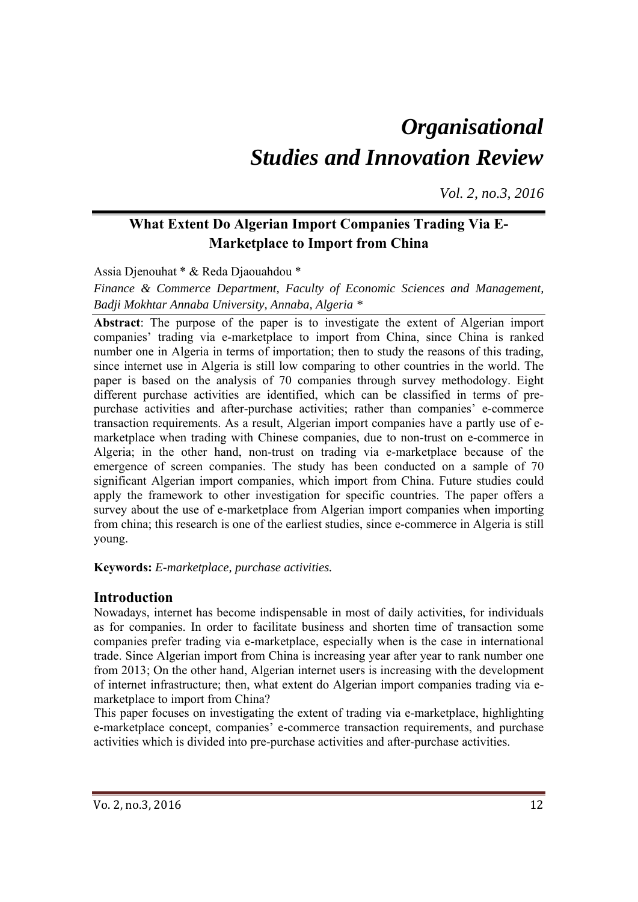# *Organisational Studies and Innovation Review*

*Vol. 2, no.3, 2016*

# **What Extent Do Algerian Import Companies Trading Via E-Marketplace to Import from China**

Assia Djenouhat \* & Reda Djaouahdou \*

*Finance & Commerce Department, Faculty of Economic Sciences and Management, Badji Mokhtar Annaba University, Annaba, Algeria \** 

**Abstract**: The purpose of the paper is to investigate the extent of Algerian import companies' trading via e-marketplace to import from China, since China is ranked number one in Algeria in terms of importation; then to study the reasons of this trading, since internet use in Algeria is still low comparing to other countries in the world. The paper is based on the analysis of 70 companies through survey methodology. Eight different purchase activities are identified, which can be classified in terms of prepurchase activities and after-purchase activities; rather than companies' e-commerce transaction requirements. As a result, Algerian import companies have a partly use of emarketplace when trading with Chinese companies, due to non-trust on e-commerce in Algeria; in the other hand, non-trust on trading via e-marketplace because of the emergence of screen companies. The study has been conducted on a sample of 70 significant Algerian import companies, which import from China. Future studies could apply the framework to other investigation for specific countries. The paper offers a survey about the use of e-marketplace from Algerian import companies when importing from china; this research is one of the earliest studies, since e-commerce in Algeria is still young.

**Keywords:** *E-marketplace, purchase activities.* 

# **Introduction**

Nowadays, internet has become indispensable in most of daily activities, for individuals as for companies. In order to facilitate business and shorten time of transaction some companies prefer trading via e-marketplace, especially when is the case in international trade. Since Algerian import from China is increasing year after year to rank number one from 2013; On the other hand, Algerian internet users is increasing with the development of internet infrastructure; then, what extent do Algerian import companies trading via emarketplace to import from China?

This paper focuses on investigating the extent of trading via e-marketplace, highlighting e-marketplace concept, companies' e-commerce transaction requirements, and purchase activities which is divided into pre-purchase activities and after-purchase activities.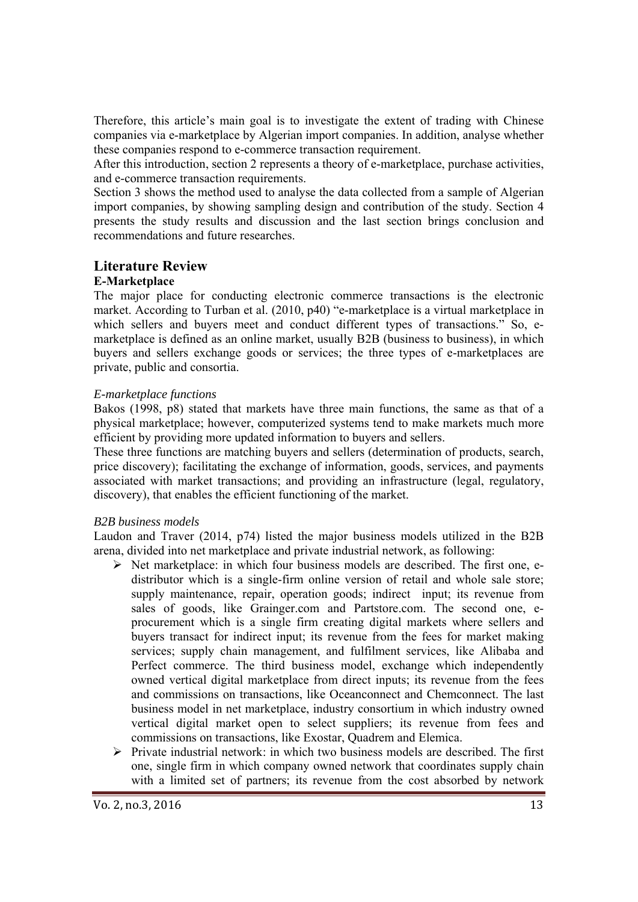Therefore, this article's main goal is to investigate the extent of trading with Chinese companies via e-marketplace by Algerian import companies. In addition, analyse whether these companies respond to e-commerce transaction requirement.

After this introduction, section 2 represents a theory of e-marketplace, purchase activities, and e-commerce transaction requirements.

Section 3 shows the method used to analyse the data collected from a sample of Algerian import companies, by showing sampling design and contribution of the study. Section 4 presents the study results and discussion and the last section brings conclusion and recommendations and future researches.

# **Literature Review**

# **E-Marketplace**

The major place for conducting electronic commerce transactions is the electronic market. According to Turban et al. (2010, p40) "e-marketplace is a virtual marketplace in which sellers and buyers meet and conduct different types of transactions." So, emarketplace is defined as an online market, usually B2B (business to business), in which buyers and sellers exchange goods or services; the three types of e-marketplaces are private, public and consortia.

# *E-marketplace functions*

Bakos (1998, p8) stated that markets have three main functions, the same as that of a physical marketplace; however, computerized systems tend to make markets much more efficient by providing more updated information to buyers and sellers.

These three functions are matching buyers and sellers (determination of products, search, price discovery); facilitating the exchange of information, goods, services, and payments associated with market transactions; and providing an infrastructure (legal, regulatory, discovery), that enables the efficient functioning of the market.

# *B2B business models*

Laudon and Traver (2014, p74) listed the major business models utilized in the B2B arena, divided into net marketplace and private industrial network, as following:

- $\triangleright$  Net marketplace: in which four business models are described. The first one, edistributor which is a single-firm online version of retail and whole sale store; supply maintenance, repair, operation goods; indirect input; its revenue from sales of goods, like Grainger.com and Partstore.com. The second one, eprocurement which is a single firm creating digital markets where sellers and buyers transact for indirect input; its revenue from the fees for market making services; supply chain management, and fulfilment services, like Alibaba and Perfect commerce. The third business model, exchange which independently owned vertical digital marketplace from direct inputs; its revenue from the fees and commissions on transactions, like Oceanconnect and Chemconnect. The last business model in net marketplace, industry consortium in which industry owned vertical digital market open to select suppliers; its revenue from fees and commissions on transactions, like Exostar, Quadrem and Elemica.
- $\triangleright$  Private industrial network: in which two business models are described. The first one, single firm in which company owned network that coordinates supply chain with a limited set of partners; its revenue from the cost absorbed by network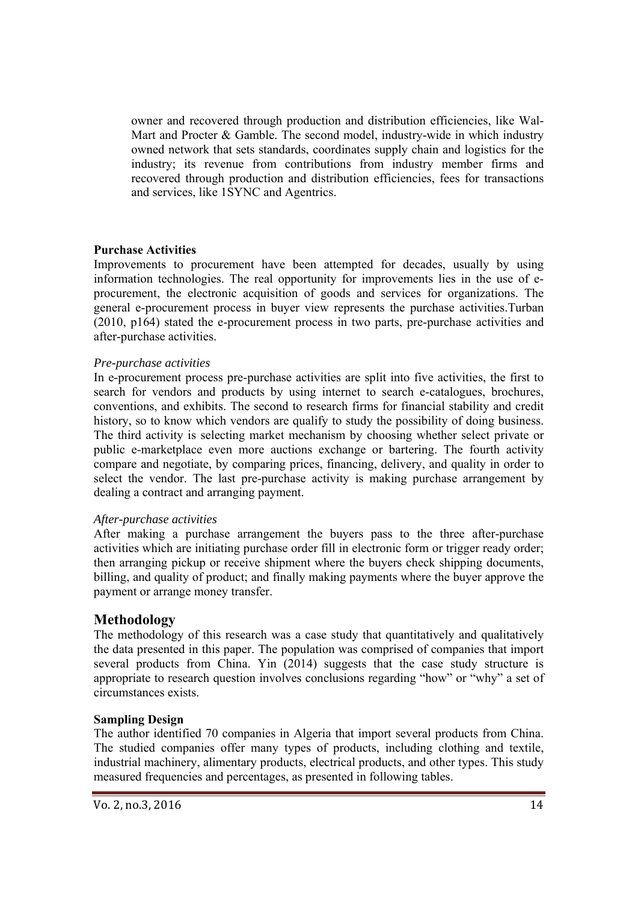owner and recovered through production and distribution efficiencies, like Wal-Mart and Procter & Gamble. The second model, industry-wide in which industry owned network that sets standards, coordinates supply chain and logistics for the industry; its revenue from contributions from industry member firms and recovered through production and distribution efficiencies, fees for transactions and services, like 1SYNC and Agentrics.

# **Purchase Activities**

Improvements to procurement have been attempted for decades, usually by using information technologies. The real opportunity for improvements lies in the use of eprocurement, the electronic acquisition of goods and services for organizations. The general e-procurement process in buyer view represents the purchase activities.Turban (2010, p164) stated the e-procurement process in two parts, pre-purchase activities and after-purchase activities.

### *Pre-purchase activities*

In e-procurement process pre-purchase activities are split into five activities, the first to search for vendors and products by using internet to search e-catalogues, brochures, conventions, and exhibits. The second to research firms for financial stability and credit history, so to know which vendors are qualify to study the possibility of doing business. The third activity is selecting market mechanism by choosing whether select private or public e-marketplace even more auctions exchange or bartering. The fourth activity compare and negotiate, by comparing prices, financing, delivery, and quality in order to select the vendor. The last pre-purchase activity is making purchase arrangement by dealing a contract and arranging payment.

### *After-purchase activities*

After making a purchase arrangement the buyers pass to the three after-purchase activities which are initiating purchase order fill in electronic form or trigger ready order; then arranging pickup or receive shipment where the buyers check shipping documents, billing, and quality of product; and finally making payments where the buyer approve the payment or arrange money transfer.

# **Methodology**

The methodology of this research was a case study that quantitatively and qualitatively the data presented in this paper. The population was comprised of companies that import several products from China. Yin (2014) suggests that the case study structure is appropriate to research question involves conclusions regarding "how" or "why" a set of circumstances exists.

# **Sampling Design**

The author identified 70 companies in Algeria that import several products from China. The studied companies offer many types of products, including clothing and textile, industrial machinery, alimentary products, electrical products, and other types. This study measured frequencies and percentages, as presented in following tables.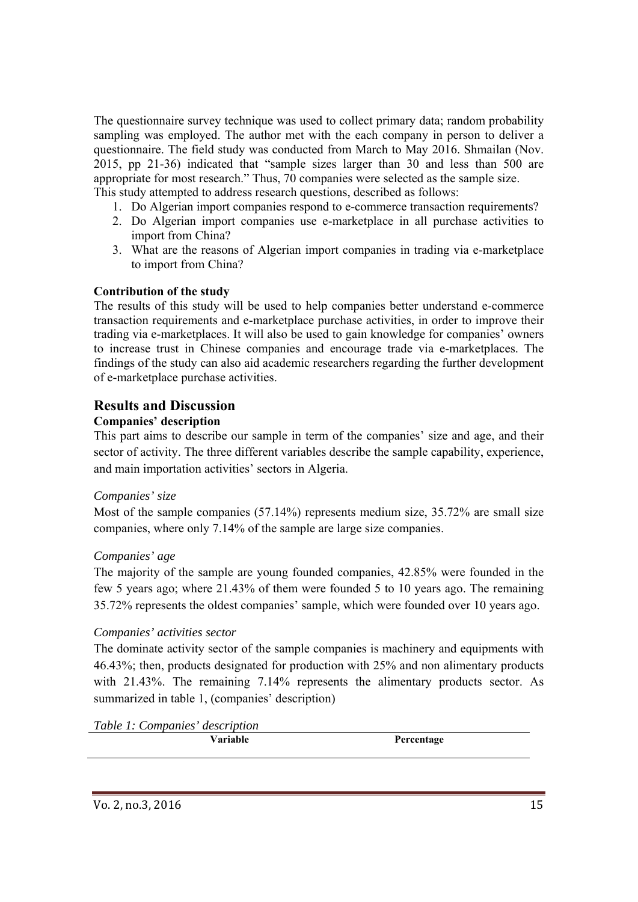The questionnaire survey technique was used to collect primary data; random probability sampling was employed. The author met with the each company in person to deliver a questionnaire. The field study was conducted from March to May 2016. Shmailan (Nov. 2015, pp 21-36) indicated that "sample sizes larger than 30 and less than 500 are appropriate for most research." Thus, 70 companies were selected as the sample size. This study attempted to address research questions, described as follows:

- 1. Do Algerian import companies respond to e-commerce transaction requirements?
- 2. Do Algerian import companies use e-marketplace in all purchase activities to import from China?
- 3. What are the reasons of Algerian import companies in trading via e-marketplace to import from China?

# **Contribution of the study**

The results of this study will be used to help companies better understand e-commerce transaction requirements and e-marketplace purchase activities, in order to improve their trading via e-marketplaces. It will also be used to gain knowledge for companies' owners to increase trust in Chinese companies and encourage trade via e-marketplaces. The findings of the study can also aid academic researchers regarding the further development of e-marketplace purchase activities.

# **Results and Discussion**

# **Companies' description**

This part aims to describe our sample in term of the companies' size and age, and their sector of activity. The three different variables describe the sample capability, experience, and main importation activities' sectors in Algeria.

### *Companies' size*

Most of the sample companies (57.14%) represents medium size, 35.72% are small size companies, where only 7.14% of the sample are large size companies.

### *Companies' age*

The majority of the sample are young founded companies, 42.85% were founded in the few 5 years ago; where 21.43% of them were founded 5 to 10 years ago. The remaining 35.72% represents the oldest companies' sample, which were founded over 10 years ago.

# *Companies' activities sector*

The dominate activity sector of the sample companies is machinery and equipments with 46.43%; then, products designated for production with 25% and non alimentary products with 21.43%. The remaining 7.14% represents the alimentary products sector. As summarized in table 1, (companies' description)

*Table 1: Companies' description* 

 **Variable Percentage**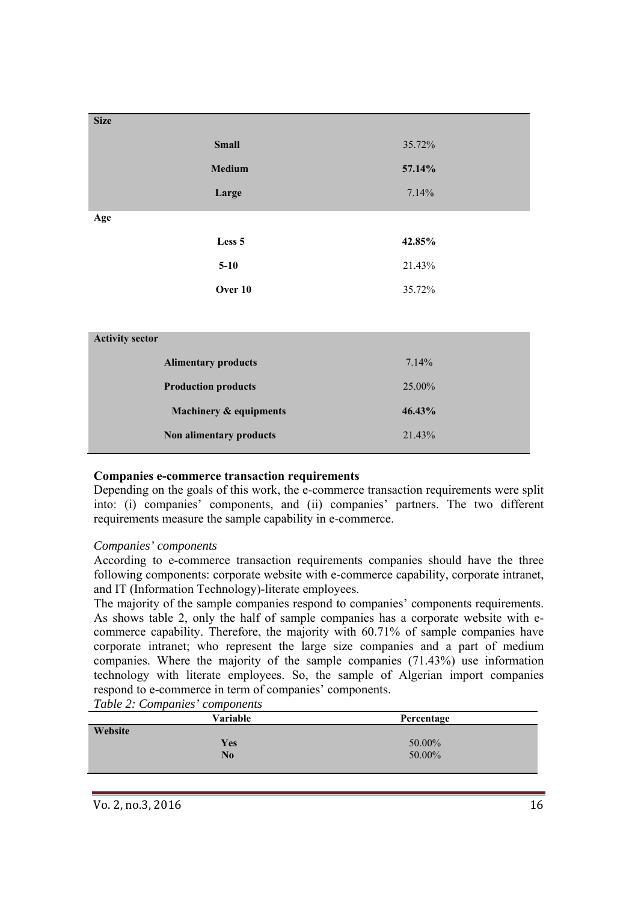| <b>Size</b>                |        |
|----------------------------|--------|
| <b>Small</b>               | 35.72% |
| <b>Medium</b>              | 57.14% |
| Large                      | 7.14%  |
| Age                        |        |
| Less 5                     | 42.85% |
| $5 - 10$                   | 21.43% |
| Over 10                    | 35.72% |
|                            |        |
| <b>Activity sector</b>     |        |
| <b>Alimentary products</b> | 7.14%  |
| <b>Production products</b> | 25.00% |
| Machinery & equipments     | 46.43% |
| Non alimentary products    | 21.43% |
|                            |        |

# **Companies e-commerce transaction requirements**

Depending on the goals of this work, the e-commerce transaction requirements were split into: (i) companies' components, and (ii) companies' partners. The two different requirements measure the sample capability in e-commerce.

### *Companies' components*

According to e-commerce transaction requirements companies should have the three following components: corporate website with e-commerce capability, corporate intranet, and IT (Information Technology)-literate employees.

The majority of the sample companies respond to companies' components requirements. As shows table 2, only the half of sample companies has a corporate website with ecommerce capability. Therefore, the majority with 60.71% of sample companies have corporate intranet; who represent the large size companies and a part of medium companies. Where the majority of the sample companies (71.43%) use information technology with literate employees. So, the sample of Algerian import companies respond to e-commerce in term of companies' components.

*Table 2: Companies' components* 

|         | Variable | Percentage |  |  |
|---------|----------|------------|--|--|
| Website |          |            |  |  |
|         | Yes      | 50.00%     |  |  |
|         | No       | 50.00%     |  |  |
|         |          |            |  |  |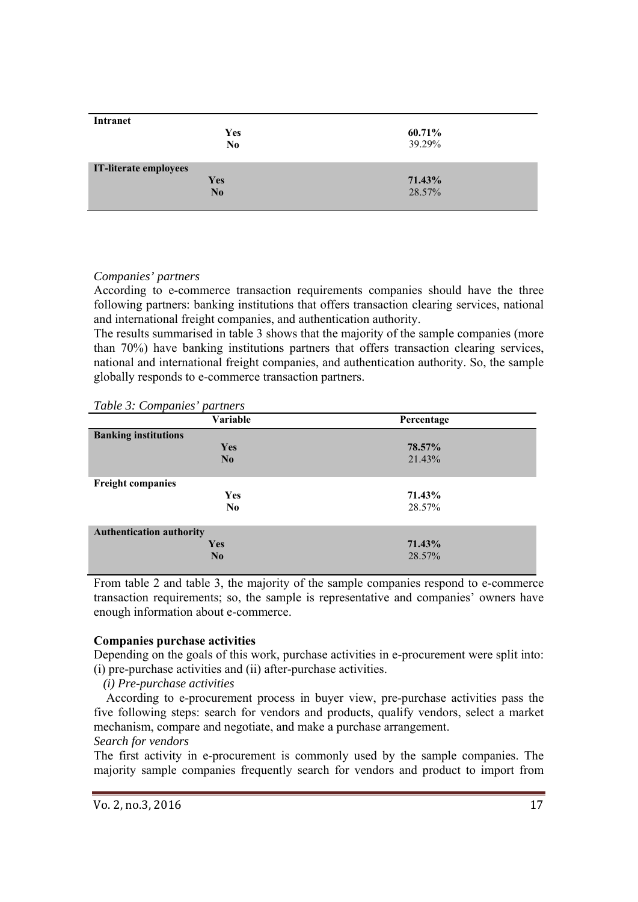| <b>Intranet</b>       |        |
|-----------------------|--------|
| Yes                   | 60.71% |
| N <sub>0</sub>        | 39.29% |
|                       |        |
| IT-literate employees |        |
| Yes                   | 71.43% |
| N <sub>0</sub>        | 28.57% |
|                       |        |

# *Companies' partners*

According to e-commerce transaction requirements companies should have the three following partners: banking institutions that offers transaction clearing services, national and international freight companies, and authentication authority.

The results summarised in table 3 shows that the majority of the sample companies (more than 70%) have banking institutions partners that offers transaction clearing services, national and international freight companies, and authentication authority. So, the sample globally responds to e-commerce transaction partners.

|  | Table 3: Companies' partners |  |
|--|------------------------------|--|
|--|------------------------------|--|

| Variable                        | Percentage |
|---------------------------------|------------|
| <b>Banking institutions</b>     |            |
| Yes                             | 78.57%     |
| N <sub>o</sub>                  | 21.43%     |
| <b>Freight companies</b>        |            |
| Yes                             | 71.43%     |
| N <sub>0</sub>                  | 28.57%     |
| <b>Authentication authority</b> |            |
| Yes                             | 71.43%     |
| N <sub>0</sub>                  | 28.57%     |

From table 2 and table 3, the majority of the sample companies respond to e-commerce transaction requirements; so, the sample is representative and companies' owners have enough information about e-commerce.

### **Companies purchase activities**

Depending on the goals of this work, purchase activities in e-procurement were split into: (i) pre-purchase activities and (ii) after-purchase activities.

*(i) Pre-purchase activities* 

 According to e-procurement process in buyer view, pre-purchase activities pass the five following steps: search for vendors and products, qualify vendors, select a market mechanism, compare and negotiate, and make a purchase arrangement.

## *Search for vendors*

The first activity in e-procurement is commonly used by the sample companies. The majority sample companies frequently search for vendors and product to import from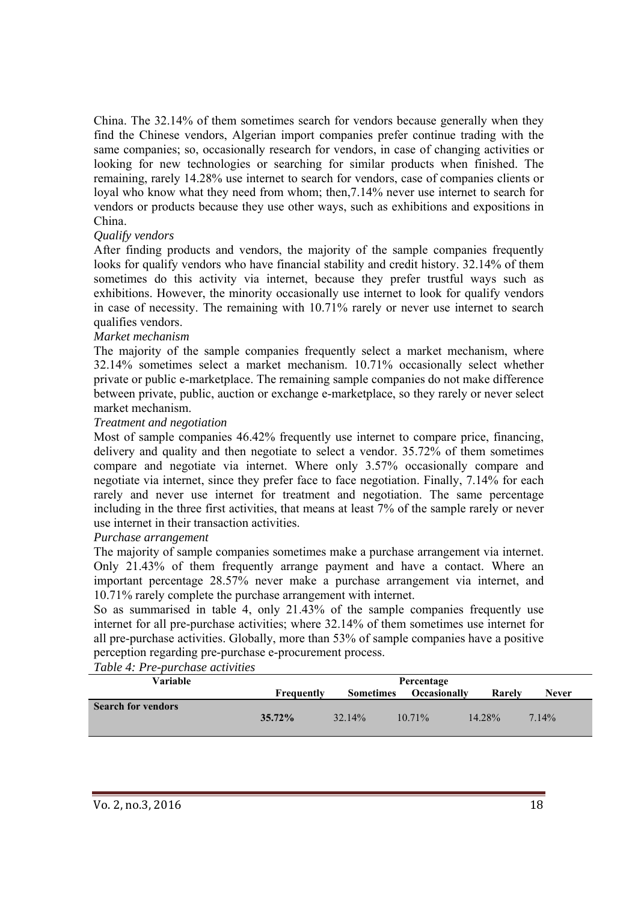China. The 32.14% of them sometimes search for vendors because generally when they find the Chinese vendors, Algerian import companies prefer continue trading with the same companies; so, occasionally research for vendors, in case of changing activities or looking for new technologies or searching for similar products when finished. The remaining, rarely 14.28% use internet to search for vendors, case of companies clients or loyal who know what they need from whom; then,7.14% never use internet to search for vendors or products because they use other ways, such as exhibitions and expositions in China.

### *Qualify vendors*

After finding products and vendors, the majority of the sample companies frequently looks for qualify vendors who have financial stability and credit history. 32.14% of them sometimes do this activity via internet, because they prefer trustful ways such as exhibitions. However, the minority occasionally use internet to look for qualify vendors in case of necessity. The remaining with 10.71% rarely or never use internet to search qualifies vendors.

# *Market mechanism*

The majority of the sample companies frequently select a market mechanism, where 32.14% sometimes select a market mechanism. 10.71% occasionally select whether private or public e-marketplace. The remaining sample companies do not make difference between private, public, auction or exchange e-marketplace, so they rarely or never select market mechanism.

### *Treatment and negotiation*

Most of sample companies 46.42% frequently use internet to compare price, financing, delivery and quality and then negotiate to select a vendor. 35.72% of them sometimes compare and negotiate via internet. Where only 3.57% occasionally compare and negotiate via internet, since they prefer face to face negotiation. Finally, 7.14% for each rarely and never use internet for treatment and negotiation. The same percentage including in the three first activities, that means at least 7% of the sample rarely or never use internet in their transaction activities.

### *Purchase arrangement*

The majority of sample companies sometimes make a purchase arrangement via internet. Only 21.43% of them frequently arrange payment and have a contact. Where an important percentage 28.57% never make a purchase arrangement via internet, and 10.71% rarely complete the purchase arrangement with internet.

So as summarised in table 4, only 21.43% of the sample companies frequently use internet for all pre-purchase activities; where 32.14% of them sometimes use internet for all pre-purchase activities. Globally, more than 53% of sample companies have a positive perception regarding pre-purchase e-procurement process.

| Variable                  |            | Percentage       |                     |        |          |  |
|---------------------------|------------|------------------|---------------------|--------|----------|--|
|                           | Frequently | <b>Sometimes</b> | <b>Occasionally</b> | Rarely | Never    |  |
| <b>Search for vendors</b> | $35.72\%$  | 32.14%           | $10.71\%$           | 14.28% | $7.14\%$ |  |

*Table 4: Pre-purchase activities*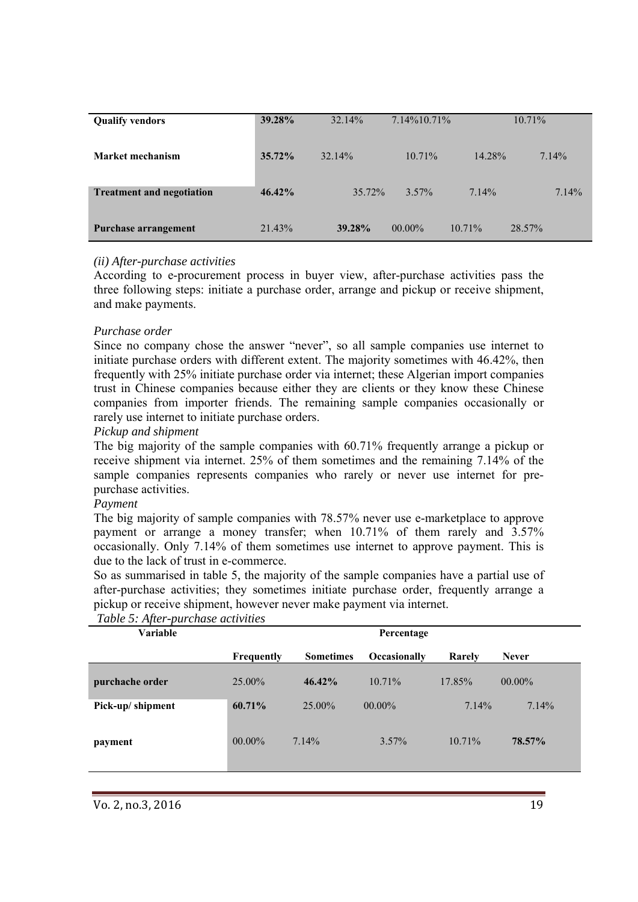| <b>Qualify vendors</b>           | 39.28%    | 32.14% | 7.14\%10.71\% |           | 10.71% |
|----------------------------------|-----------|--------|---------------|-----------|--------|
| Market mechanism                 | $35.72\%$ | 32.14% | $10.71\%$     | 14.28%    | 7.14%  |
| <b>Treatment and negotiation</b> | $46.42\%$ | 35.72% | 3.57%         | 7.14%     | 7.14%  |
| Purchase arrangement             | 21.43%    | 39.28% | $00.00\%$     | $10.71\%$ | 28.57% |

### *(ii) After-purchase activities*

According to e-procurement process in buyer view, after-purchase activities pass the three following steps: initiate a purchase order, arrange and pickup or receive shipment, and make payments.

# *Purchase order*

Since no company chose the answer "never", so all sample companies use internet to initiate purchase orders with different extent. The majority sometimes with 46.42%, then frequently with 25% initiate purchase order via internet; these Algerian import companies trust in Chinese companies because either they are clients or they know these Chinese companies from importer friends. The remaining sample companies occasionally or rarely use internet to initiate purchase orders.

### *Pickup and shipment*

The big majority of the sample companies with 60.71% frequently arrange a pickup or receive shipment via internet. 25% of them sometimes and the remaining 7.14% of the sample companies represents companies who rarely or never use internet for prepurchase activities.

### *Payment*

The big majority of sample companies with 78.57% never use e-marketplace to approve payment or arrange a money transfer; when 10.71% of them rarely and 3.57% occasionally. Only 7.14% of them sometimes use internet to approve payment. This is due to the lack of trust in e-commerce.

So as summarised in table 5, the majority of the sample companies have a partial use of after-purchase activities; they sometimes initiate purchase order, frequently arrange a pickup or receive shipment, however never make payment via internet.

| Variable         | Table 5. After-parchase activities<br>Percentage |                  |                     |           |               |
|------------------|--------------------------------------------------|------------------|---------------------|-----------|---------------|
|                  | <b>Frequently</b>                                | <b>Sometimes</b> | <b>Occasionally</b> | Rarely    | <b>Never</b>  |
| purchache order  | 25.00%                                           | 46.42%           | $10.71\%$           | 17.85%    | $00.00\%$     |
| Pick-up/shipment | 60.71%                                           | 25.00%           | $00.00\%$           | 7.14%     | 7.14%         |
| payment          | $00.00\%$                                        | $7.14\%$         | $3.57\%$            | $10.71\%$ | <b>78.57%</b> |

 *Table 5: After-purchase activities*